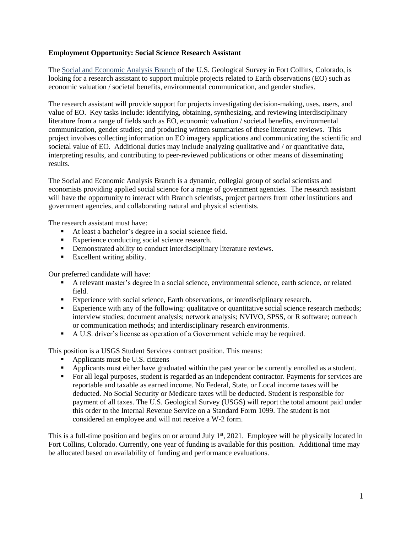## **Employment Opportunity: Social Science Research Assistant**

The [Social and Economic Analysis Branch](https://www.usgs.gov/centers/fort/science/social-and-economic-analysis-sea) of the U.S. Geological Survey in Fort Collins, Colorado, is looking for a research assistant to support multiple projects related to Earth observations (EO) such as economic valuation / societal benefits, environmental communication, and gender studies.

The research assistant will provide support for projects investigating decision-making, uses, users, and value of EO. Key tasks include: identifying, obtaining, synthesizing, and reviewing interdisciplinary literature from a range of fields such as EO, economic valuation / societal benefits, environmental communication, gender studies; and producing written summaries of these literature reviews. This project involves collecting information on EO imagery applications and communicating the scientific and societal value of EO. Additional duties may include analyzing qualitative and / or quantitative data, interpreting results, and contributing to peer-reviewed publications or other means of disseminating results.

The Social and Economic Analysis Branch is a dynamic, collegial group of social scientists and economists providing applied social science for a range of government agencies. The research assistant will have the opportunity to interact with Branch scientists, project partners from other institutions and government agencies, and collaborating natural and physical scientists.

The research assistant must have:

- At least a bachelor's degree in a social science field.
- Experience conducting social science research.
- Demonstrated ability to conduct interdisciplinary literature reviews.
- Excellent writing ability.

Our preferred candidate will have:

- A relevant master's degree in a social science, environmental science, earth science, or related field.
- Experience with social science, Earth observations, or interdisciplinary research.
- Experience with any of the following: qualitative or quantitative social science research methods; interview studies; document analysis; network analysis; NVIVO, SPSS, or R software; outreach or communication methods; and interdisciplinary research environments.
- A U.S. driver's license as operation of a Government vehicle may be required.

This position is a USGS Student Services contract position. This means:

- Applicants must be U.S. citizens
- Applicants must either have graduated within the past year or be currently enrolled as a student.
- For all legal purposes, student is regarded as an independent contractor. Payments for services are reportable and taxable as earned income. No Federal, State, or Local income taxes will be deducted. No Social Security or Medicare taxes will be deducted. Student is responsible for payment of all taxes. The U.S. Geological Survey (USGS) will report the total amount paid under this order to the Internal Revenue Service on a Standard Form 1099. The student is not considered an employee and will not receive a W-2 form.

This is a full-time position and begins on or around July 1<sup>st</sup>, 2021. Employee will be physically located in Fort Collins, Colorado. Currently, one year of funding is available for this position. Additional time may be allocated based on availability of funding and performance evaluations.